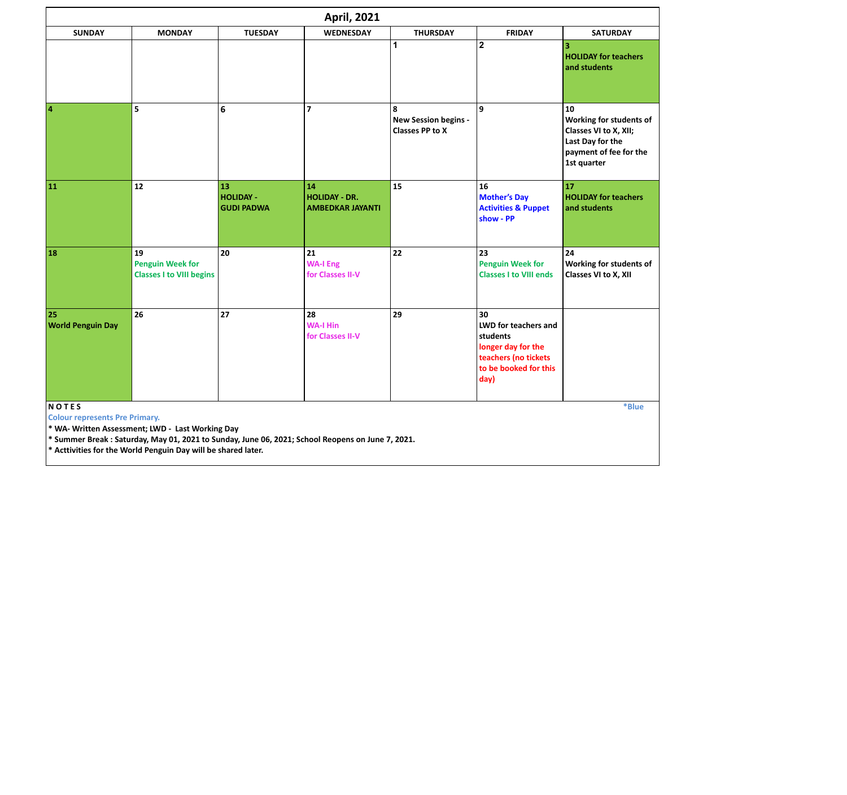|                                       |                                                                                                                                                                                                                       |                                             | <b>April, 2021</b>                                    |                                                     |                                                                                                                       |                                                                                                                     |
|---------------------------------------|-----------------------------------------------------------------------------------------------------------------------------------------------------------------------------------------------------------------------|---------------------------------------------|-------------------------------------------------------|-----------------------------------------------------|-----------------------------------------------------------------------------------------------------------------------|---------------------------------------------------------------------------------------------------------------------|
| <b>SUNDAY</b>                         | <b>MONDAY</b>                                                                                                                                                                                                         | <b>TUESDAY</b>                              | <b>WEDNESDAY</b>                                      | <b>THURSDAY</b>                                     | <b>FRIDAY</b>                                                                                                         | <b>SATURDAY</b>                                                                                                     |
|                                       |                                                                                                                                                                                                                       |                                             |                                                       | $\mathbf 1$                                         | $\overline{2}$                                                                                                        | $\overline{\mathbf{3}}$<br><b>HOLIDAY for teachers</b><br>and students                                              |
| $\overline{4}$                        | 5                                                                                                                                                                                                                     | 6                                           | $\overline{7}$                                        | 8<br>New Session begins -<br><b>Classes PP to X</b> | $\overline{9}$                                                                                                        | 10<br>Working for students of<br>Classes VI to X, XII;<br>Last Day for the<br>payment of fee for the<br>1st quarter |
| 11                                    | 12                                                                                                                                                                                                                    | 13<br><b>HOLIDAY -</b><br><b>GUDI PADWA</b> | 14<br><b>HOLIDAY - DR.</b><br><b>AMBEDKAR JAYANTI</b> | 15                                                  | 16<br><b>Mother's Day</b><br><b>Activities &amp; Puppet</b><br>show - PP                                              | 17<br><b>HOLIDAY for teachers</b><br>and students                                                                   |
| 18                                    | 19<br><b>Penguin Week for</b><br><b>Classes I to VIII begins</b>                                                                                                                                                      | 20                                          | 21<br><b>WA-I Eng</b><br>for Classes II-V             | 22                                                  | 23<br><b>Penguin Week for</b><br><b>Classes I to VIII ends</b>                                                        | 24<br>Working for students of<br>Classes VI to X, XII                                                               |
| 25<br><b>World Penguin Day</b>        | 26                                                                                                                                                                                                                    | 27                                          | 28<br><b>WA-I Hin</b><br>for Classes II-V             | 29                                                  | 30<br>LWD for teachers and<br>students<br>longer day for the<br>teachers (no tickets<br>to be booked for this<br>day) |                                                                                                                     |
| <b>NOTES</b>                          |                                                                                                                                                                                                                       |                                             |                                                       |                                                     |                                                                                                                       | *Blue                                                                                                               |
| <b>Colour represents Pre Primary.</b> | * WA- Written Assessment; LWD - Last Working Day<br>* Summer Break: Saturday, May 01, 2021 to Sunday, June 06, 2021; School Reopens on June 7, 2021.<br>* Acttivities for the World Penguin Day will be shared later. |                                             |                                                       |                                                     |                                                                                                                       |                                                                                                                     |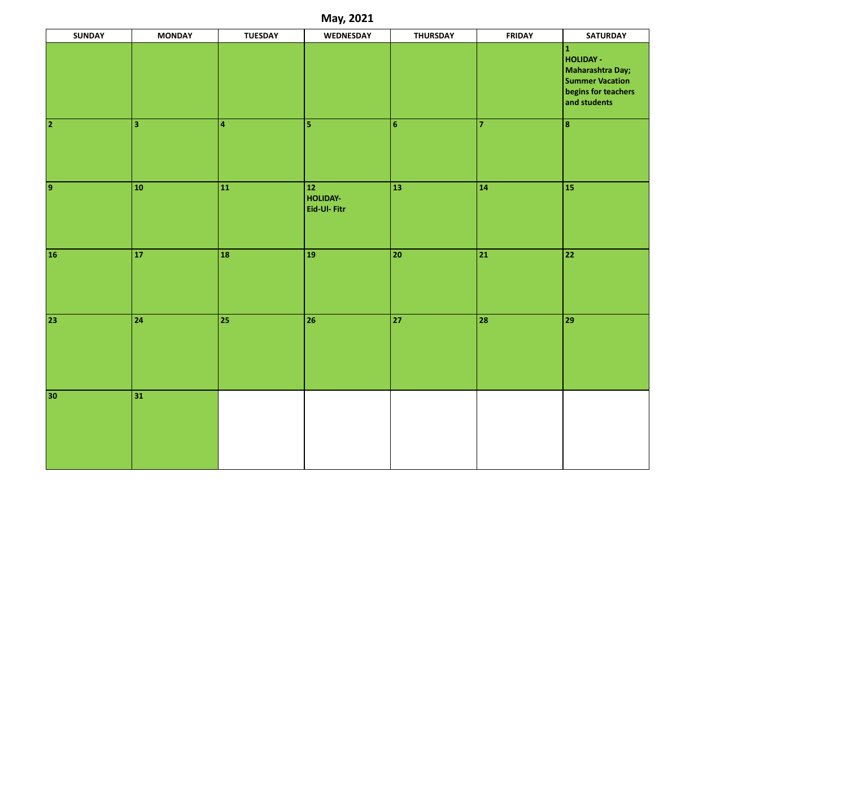| May, 2021       |                         |                         |                                         |                 |                |                                                                                                             |
|-----------------|-------------------------|-------------------------|-----------------------------------------|-----------------|----------------|-------------------------------------------------------------------------------------------------------------|
| <b>SUNDAY</b>   | <b>MONDAY</b>           | <b>TUESDAY</b>          | <b>WEDNESDAY</b>                        | <b>THURSDAY</b> | <b>FRIDAY</b>  | <b>SATURDAY</b>                                                                                             |
|                 |                         |                         |                                         |                 |                | $\vert$ 1<br>HOLIDAY -<br>Maharashtra Day;<br><b>Summer Vacation</b><br>begins for teachers<br>and students |
| $\overline{2}$  | $\overline{\mathbf{3}}$ | $\overline{\mathbf{4}}$ | $\overline{\mathbf{5}}$                 | 6 <sup>1</sup>  | $\overline{7}$ | $\boxed{8}$                                                                                                 |
| $\overline{9}$  | 10 <sup>°</sup>         | $\overline{\bf 11}$     | $\boxed{12}$<br>HOLIDAY-<br>Eid-Ul-Fitr | 13              | $ 14\rangle$   | 15                                                                                                          |
| 16 <sup>°</sup> | 17 <sup>°</sup>         | 18                      | 19                                      | 20              | 21             | 22                                                                                                          |
| 23              | 24                      | $\overline{25}$         | $\overline{26}$                         | 27              | 28             | 29                                                                                                          |
| 30              | 31                      |                         |                                         |                 |                |                                                                                                             |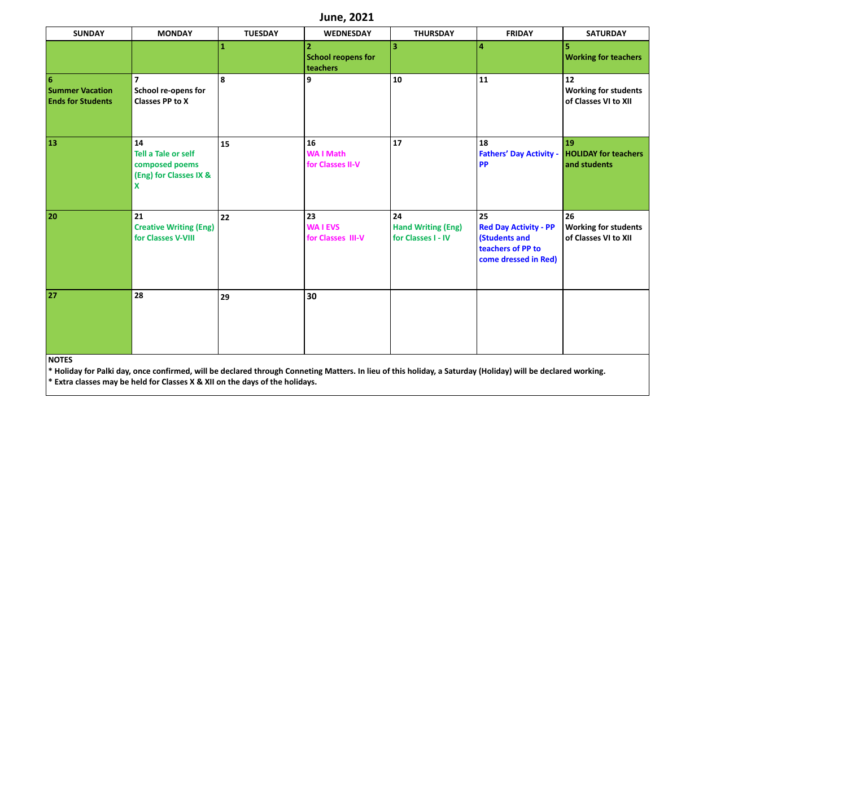|                                                                       |                                                                                   |                | <b>June, 2021</b>                                       |                                                       |                                                                                                  |                                                           |
|-----------------------------------------------------------------------|-----------------------------------------------------------------------------------|----------------|---------------------------------------------------------|-------------------------------------------------------|--------------------------------------------------------------------------------------------------|-----------------------------------------------------------|
| <b>SUNDAY</b>                                                         | <b>MONDAY</b>                                                                     | <b>TUESDAY</b> | <b>WEDNESDAY</b>                                        | <b>THURSDAY</b>                                       | <b>FRIDAY</b>                                                                                    | <b>SATURDAY</b>                                           |
|                                                                       |                                                                                   | 1              | $\overline{2}$<br><b>School reopens for</b><br>teachers | $\overline{\mathbf{3}}$                               | $\overline{a}$                                                                                   | <b>Working for teachers</b>                               |
| $6\phantom{a}6$<br><b>Summer Vacation</b><br><b>Ends for Students</b> | $\overline{7}$<br>School re-opens for<br><b>Classes PP to X</b>                   | 8              | 9                                                       | 10                                                    | 11                                                                                               | 12<br><b>Working for students</b><br>of Classes VI to XII |
| 13                                                                    | 14<br><b>Tell a Tale or self</b><br>composed poems<br>(Eng) for Classes IX &<br>X | 15             | 16<br><b>WAI Math</b><br>for Classes II-V               | 17                                                    | 18<br><b>Fathers' Day Activity -</b><br><b>PP</b>                                                | <b>19</b><br><b>HOLIDAY for teachers</b><br>and students  |
| 20                                                                    | 21<br><b>Creative Writing (Eng)</b><br>for Classes V-VIII                         | 22             | 23<br><b>WAIEVS</b><br>for Classes III-V                | 24<br><b>Hand Writing (Eng)</b><br>for Classes I - IV | 25<br><b>Red Day Activity - PP</b><br>(Students and<br>teachers of PP to<br>come dressed in Red) | 26<br><b>Working for students</b><br>of Classes VI to XII |
| 27                                                                    | 28                                                                                | 29             | 30                                                      |                                                       |                                                                                                  |                                                           |
| <b>NOTES</b>                                                          |                                                                                   |                |                                                         |                                                       |                                                                                                  |                                                           |

**\* Holiday for Palki day, once confirmed, will be declared through Conneting Matters. In lieu of this holiday, a Saturday (Holiday) will be declared working. \* Extra classes may be held for Classes X & XII on the days of the holidays.**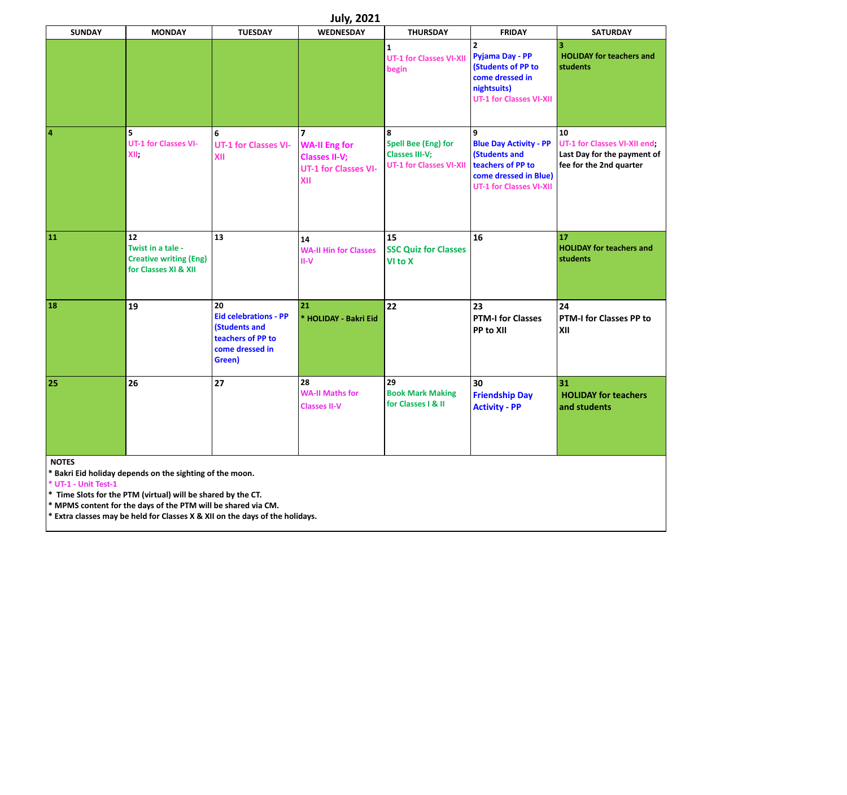|                         |                                                                                  |                                                                                                       | <b>July, 2021</b>                                                                                    |                                                                                            |                                                                                                                                     |                                                                                              |
|-------------------------|----------------------------------------------------------------------------------|-------------------------------------------------------------------------------------------------------|------------------------------------------------------------------------------------------------------|--------------------------------------------------------------------------------------------|-------------------------------------------------------------------------------------------------------------------------------------|----------------------------------------------------------------------------------------------|
| <b>SUNDAY</b>           | <b>MONDAY</b>                                                                    | <b>TUESDAY</b>                                                                                        | <b>WEDNESDAY</b>                                                                                     | <b>THURSDAY</b>                                                                            | <b>FRIDAY</b>                                                                                                                       | <b>SATURDAY</b>                                                                              |
|                         |                                                                                  |                                                                                                       |                                                                                                      | $\mathbf{1}$<br><b>UT-1 for Classes VI-XII</b><br>begin                                    | $\overline{2}$<br>Pyjama Day - PP<br>(Students of PP to<br>come dressed in<br>nightsuits)<br><b>UT-1 for Classes VI-XII</b>         | 3<br><b>HOLIDAY for teachers and</b><br><b>students</b>                                      |
| $\overline{\mathbf{4}}$ | 5<br><b>UT-1 for Classes VI-</b><br>XII.                                         | 6<br><b>UT-1 for Classes VI-</b><br>XII                                                               | $\overline{ }$<br><b>WA-II Eng for</b><br><b>Classes II-V;</b><br><b>UT-1 for Classes VI-</b><br>XII | 8<br><b>Spell Bee (Eng) for</b><br><b>Classes III-V;</b><br><b>UT-1 for Classes VI-XII</b> | 9<br><b>Blue Day Activity - PP</b><br>(Students and<br>teachers of PP to<br>come dressed in Blue)<br><b>UT-1 for Classes VI-XII</b> | 10<br>UT-1 for Classes VI-XII end;<br>Last Day for the payment of<br>fee for the 2nd quarter |
| 11                      | 12<br>Twist in a tale -<br><b>Creative writing (Eng)</b><br>for Classes XI & XII | 13                                                                                                    | 14<br><b>WA-II Hin for Classes</b><br>$II-V$                                                         | 15<br><b>SSC Quiz for Classes</b><br>VI to X                                               | 16                                                                                                                                  | 17<br><b>HOLIDAY for teachers and</b><br>students                                            |
| 18                      | 19                                                                               | 20<br><b>Eid celebrations - PP</b><br>(Students and<br>teachers of PP to<br>come dressed in<br>Green) | 21<br>* HOLIDAY - Bakri Eid                                                                          | 22                                                                                         | 23<br><b>PTM-I for Classes</b><br>PP to XII                                                                                         | 24<br>PTM-I for Classes PP to<br>XII                                                         |
| 25                      | 26                                                                               | 27                                                                                                    | 28<br><b>WA-II Maths for</b><br><b>Classes II-V</b>                                                  | 29<br><b>Book Mark Making</b><br>for Classes   & II                                        | 30<br><b>Friendship Day</b><br><b>Activity - PP</b>                                                                                 | 31<br><b>HOLIDAY for teachers</b><br>and students                                            |
| <b>NOTES</b>            | * Bakri Eid holiday depends on the sighting of the moon.                         |                                                                                                       |                                                                                                      |                                                                                            |                                                                                                                                     |                                                                                              |

**\* UT-1 - Unit Test-1 \* Time Slots for the PTM (virtual) will be shared by the CT.** 

**\* MPMS content for the days of the PTM will be shared via CM.** 

**\* Extra classes may be held for Classes X & XII on the days of the holidays.**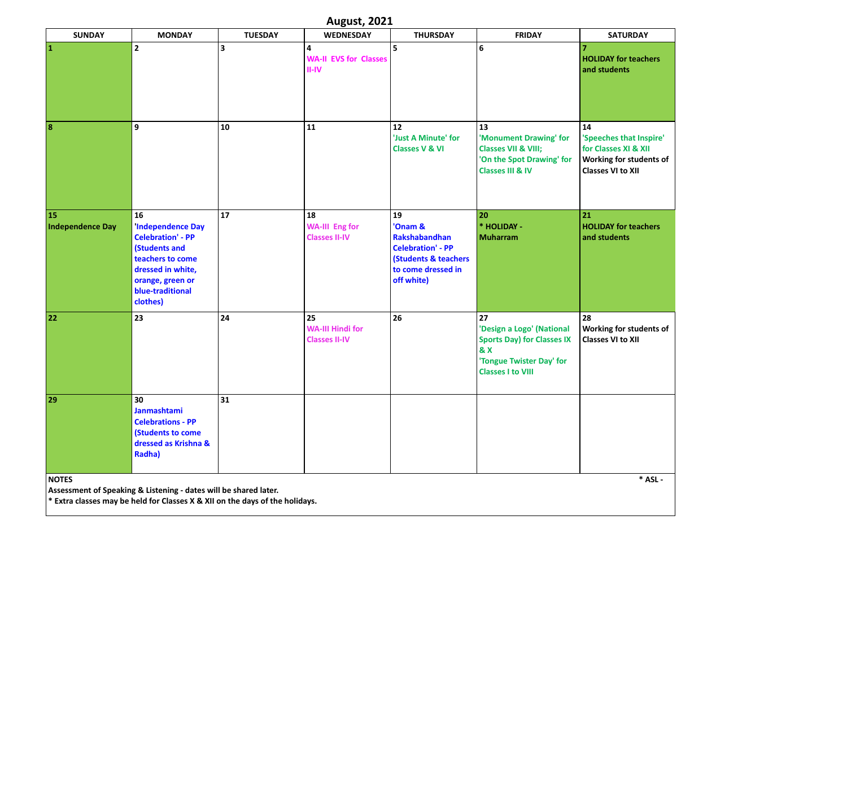| <b>August, 2021</b>           |                                                                                                                                                                         |                |                                                       |                                                                                                                                   |                                                                                                                                                |                                                                                                              |
|-------------------------------|-------------------------------------------------------------------------------------------------------------------------------------------------------------------------|----------------|-------------------------------------------------------|-----------------------------------------------------------------------------------------------------------------------------------|------------------------------------------------------------------------------------------------------------------------------------------------|--------------------------------------------------------------------------------------------------------------|
| <b>SUNDAY</b>                 | <b>MONDAY</b>                                                                                                                                                           | <b>TUESDAY</b> | <b>WEDNESDAY</b>                                      | <b>THURSDAY</b>                                                                                                                   | <b>FRIDAY</b>                                                                                                                                  | <b>SATURDAY</b>                                                                                              |
| $\mathbf{1}$                  | $\mathbf{2}$                                                                                                                                                            | 3              | 4<br><b>WA-II EVS for Classes</b><br>$II$ -IV         | 5                                                                                                                                 | 6                                                                                                                                              | <b>HOLIDAY for teachers</b><br>and students                                                                  |
| 8                             | 9                                                                                                                                                                       | 10             | 11                                                    | 12<br>'Just A Minute' for<br><b>Classes V &amp; VI</b>                                                                            | 13<br>'Monument Drawing' for<br><b>Classes VII &amp; VIII;</b><br>'On the Spot Drawing' for<br><b>Classes III &amp; IV</b>                     | 14<br>'Speeches that Inspire'<br>for Classes XI & XII<br>Working for students of<br><b>Classes VI to XII</b> |
| 15<br><b>Independence Day</b> | 16<br><b>Independence Day</b><br><b>Celebration' - PP</b><br>(Students and<br>teachers to come<br>dressed in white,<br>orange, green or<br>blue-traditional<br>clothes) | 17             | 18<br><b>WA-III Eng for</b><br><b>Classes II-IV</b>   | 19<br>'Onam &<br>Rakshabandhan<br><b>Celebration' - PP</b><br><b>(Students &amp; teachers</b><br>to come dressed in<br>off white) | 20<br>* HOLIDAY -<br><b>Muharram</b>                                                                                                           | 21<br><b>HOLIDAY for teachers</b><br>and students                                                            |
| 22                            | 23                                                                                                                                                                      | 24             | 25<br><b>WA-III Hindi for</b><br><b>Classes II-IV</b> | 26                                                                                                                                | 27<br>'Design a Logo' (National<br><b>Sports Day) for Classes IX</b><br><b>&amp; X</b><br>'Tongue Twister Day' for<br><b>Classes I to VIII</b> | 28<br>Working for students of<br><b>Classes VI to XII</b>                                                    |
| 29                            | 30<br>Janmashtami<br><b>Celebrations - PP</b><br>(Students to come<br>dressed as Krishna &<br>Radha)                                                                    | 31             |                                                       |                                                                                                                                   |                                                                                                                                                |                                                                                                              |
| <b>NOTES</b>                  | Assessment of Speaking & Listening - dates will be shared later.<br>* Extra classes may be held for Classes X & XII on the days of the holidays.                        |                |                                                       |                                                                                                                                   |                                                                                                                                                | $*$ ASL -                                                                                                    |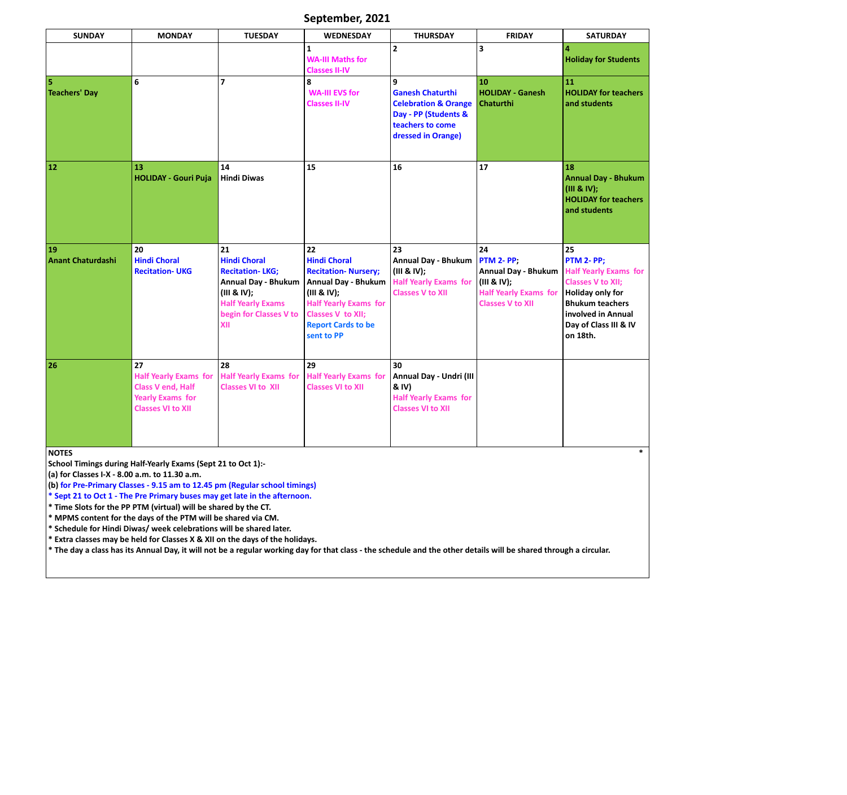| September, 2021 |  |
|-----------------|--|
|-----------------|--|

| <b>SUNDAY</b>                                                 | <b>MONDAY</b>                                                                                                                              | <b>TUESDAY</b>                                                                                                                                                | <b>WEDNESDAY</b>                                                                                                                                                                                             | <b>THURSDAY</b>                                                                                                                   | <b>FRIDAY</b>                                                                                                                   | <b>SATURDAY</b>                                                                                                                                                                              |
|---------------------------------------------------------------|--------------------------------------------------------------------------------------------------------------------------------------------|---------------------------------------------------------------------------------------------------------------------------------------------------------------|--------------------------------------------------------------------------------------------------------------------------------------------------------------------------------------------------------------|-----------------------------------------------------------------------------------------------------------------------------------|---------------------------------------------------------------------------------------------------------------------------------|----------------------------------------------------------------------------------------------------------------------------------------------------------------------------------------------|
|                                                               |                                                                                                                                            |                                                                                                                                                               | $\mathbf{1}$<br><b>WA-III Maths for</b><br><b>Classes II-IV</b>                                                                                                                                              | $\overline{2}$                                                                                                                    | 3                                                                                                                               | 4<br><b>Holiday for Students</b>                                                                                                                                                             |
| 5<br><b>Teachers' Day</b>                                     | 6                                                                                                                                          | $\overline{7}$                                                                                                                                                | 8<br><b>WA-III EVS for</b><br><b>Classes II-IV</b>                                                                                                                                                           | 9<br><b>Ganesh Chaturthi</b><br><b>Celebration &amp; Orange</b><br>Day - PP (Students &<br>teachers to come<br>dressed in Orange) | 10<br><b>HOLIDAY - Ganesh</b><br><b>Chaturthi</b>                                                                               | 11<br><b>HOLIDAY for teachers</b><br>and students                                                                                                                                            |
| 12                                                            | 13<br><b>HOLIDAY - Gouri Puja</b>                                                                                                          | 14<br><b>Hindi Diwas</b>                                                                                                                                      | 15                                                                                                                                                                                                           | 16                                                                                                                                | 17                                                                                                                              | 18<br><b>Annual Day - Bhukum</b><br>(III & IV);<br><b>HOLIDAY for teachers</b><br>and students                                                                                               |
| 19<br><b>Anant Chaturdashi</b>                                | 20<br><b>Hindi Choral</b><br><b>Recitation-UKG</b>                                                                                         | 21<br><b>Hindi Choral</b><br><b>Recitation-LKG;</b><br><b>Annual Day - Bhukum</b><br>(III & IV);<br><b>Half Yearly Exams</b><br>begin for Classes V to<br>XII | 22<br><b>Hindi Choral</b><br><b>Recitation- Nursery;</b><br><b>Annual Day - Bhukum</b><br>(III & IV);<br><b>Half Yearly Exams for</b><br><b>Classes V to XII;</b><br><b>Report Cards to be</b><br>sent to PP | 23<br><b>Annual Day - Bhukum</b><br>(III & IV);<br><b>Half Yearly Exams for</b><br><b>Classes V to XII</b>                        | 24<br><b>PTM 2- PP;</b><br><b>Annual Day - Bhukum</b><br>(III & IV);<br><b>Half Yearly Exams for</b><br><b>Classes V to XII</b> | 25<br>PTM 2- PP;<br><b>Half Yearly Exams for</b><br><b>Classes V to XII;</b><br><b>Holiday only for</b><br><b>Bhukum teachers</b><br>involved in Annual<br>Day of Class III & IV<br>on 18th. |
| 26                                                            | 27<br><b>Half Yearly Exams for</b><br><b>Class V end, Half</b><br><b>Yearly Exams for</b><br><b>Classes VI to XII</b>                      | 28<br><b>Half Yearly Exams for</b><br><b>Classes VI to XII</b>                                                                                                | 29<br><b>Half Yearly Exams for</b><br><b>Classes VI to XII</b>                                                                                                                                               | 30<br>Annual Day - Undri (III<br>& IV)<br><b>Half Yearly Exams for</b><br><b>Classes VI to XII</b>                                |                                                                                                                                 |                                                                                                                                                                                              |
| <b>NOTES</b><br>(a) for Classes I-X - 8.00 a.m. to 11.30 a.m. | School Timings during Half-Yearly Exams (Sept 21 to Oct 1):-<br>(b) for Pre-Primary Classes - 9.15 am to 12.45 pm (Regular school timings) |                                                                                                                                                               |                                                                                                                                                                                                              |                                                                                                                                   |                                                                                                                                 |                                                                                                                                                                                              |

**\* Sept 21 to Oct 1 - The Pre Primary buses may get late in the afternoon.** 

**\* Time Slots for the PP PTM (virtual) will be shared by the CT.** 

**\* MPMS content for the days of the PTM will be shared via CM.** 

**\* Schedule for Hindi Diwas/ week celebrations will be shared later.** 

**\* Extra classes may be held for Classes X & XII on the days of the holidays.** 

**\* The day a class has its Annual Day, it will not be a regular working day for that class - the schedule and the other details will be shared through a circular.**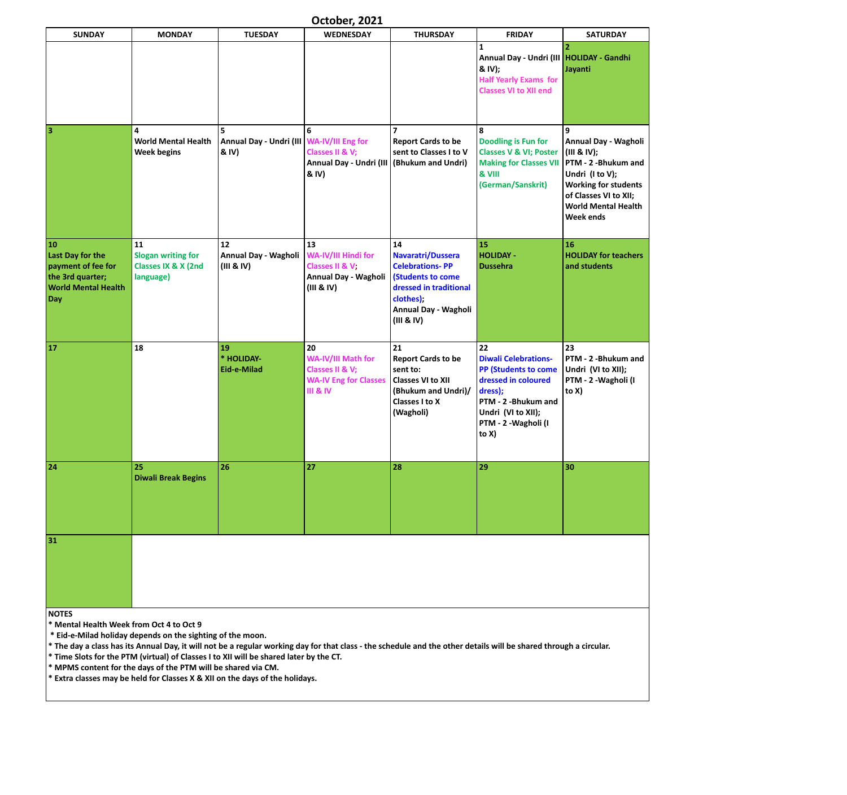| October, 2021 |  |
|---------------|--|
|---------------|--|

| <b>SUNDAY</b>                                                                                         | <b>MONDAY</b>                                                       | <b>TUESDAY</b>                                                                         | <b>WEDNESDAY</b>                                                                                                                                                  | <b>THURSDAY</b>                                                                                                                                     | <b>FRIDAY</b>                                                                                                                                                                       | <b>SATURDAY</b>                                                                                                                                                                       |
|-------------------------------------------------------------------------------------------------------|---------------------------------------------------------------------|----------------------------------------------------------------------------------------|-------------------------------------------------------------------------------------------------------------------------------------------------------------------|-----------------------------------------------------------------------------------------------------------------------------------------------------|-------------------------------------------------------------------------------------------------------------------------------------------------------------------------------------|---------------------------------------------------------------------------------------------------------------------------------------------------------------------------------------|
|                                                                                                       |                                                                     |                                                                                        |                                                                                                                                                                   |                                                                                                                                                     | 1<br>Annual Day - Undri (III   HOLIDAY - Gandhi<br>& IV);<br><b>Half Yearly Exams for</b><br><b>Classes VI to XII end</b>                                                           | 2<br>Jayanti                                                                                                                                                                          |
| $\overline{\mathbf{3}}$                                                                               | 4<br><b>World Mental Health</b><br><b>Week begins</b>               | 5<br>Annual Day - Undri (III   WA-IV/III Eng for<br>& IV)                              | Classes II & V;<br>Annual Day - Undri (III<br>& IV)                                                                                                               | $\overline{\phantom{a}}$<br><b>Report Cards to be</b><br>sent to Classes I to V<br>(Bhukum and Undri)                                               | 8<br><b>Doodling is Fun for</b><br><b>Classes V &amp; VI; Poster</b><br><b>Making for Classes VII</b><br>& VIII<br>(German/Sanskrit)                                                | 9<br>Annual Day - Wagholi<br>(III & IV);<br>PTM - 2 -Bhukum and<br>Undri (I to V);<br><b>Working for students</b><br>of Classes VI to XII;<br><b>World Mental Health</b><br>Week ends |
| 10<br>Last Day for the<br>payment of fee for<br>the 3rd quarter;<br><b>World Mental Health</b><br>Day | 11<br><b>Slogan writing for</b><br>Classes IX & X (2nd<br>language) | 12<br>Annual Day - Wagholi<br>(III & IV)                                               | 13<br>WA-IV/III Hindi for<br>Classes II & V;<br>Annual Day - Wagholi<br>(III & IV)                                                                                | 14<br>Navaratri/Dussera<br><b>Celebrations-PP</b><br>(Students to come<br>dressed in traditional<br>clothes);<br>Annual Day - Wagholi<br>(III & IV) | 15<br><b>HOLIDAY -</b><br><b>Dussehra</b>                                                                                                                                           | 16<br><b>HOLIDAY for teachers</b><br>and students                                                                                                                                     |
| <b>17</b>                                                                                             | 18                                                                  | 19<br>* HOLIDAY-<br>Eid-e-Milad                                                        | 20<br>WA-IV/III Math for<br>Classes II & V;<br><b>WA-IV Eng for Classes</b><br><b>III &amp; IV</b>                                                                | 21<br><b>Report Cards to be</b><br>sent to:<br><b>Classes VI to XII</b><br>(Bhukum and Undri)/<br>Classes I to X<br>(Wagholi)                       | 22<br><b>Diwali Celebrations-</b><br><b>PP (Students to come</b><br>dressed in coloured<br>dress);<br>PTM - 2 -Bhukum and<br>Undri (VI to XII);<br>PTM - 2 - Wagholi (I<br>to $X$ ) | 23<br>PTM - 2 -Bhukum and<br>Undri (VI to XII);<br>PTM - 2 - Wagholi (I<br>to $X$ )                                                                                                   |
| 24                                                                                                    | 25<br><b>Diwali Break Begins</b>                                    | 26                                                                                     | 27                                                                                                                                                                | 28                                                                                                                                                  | 29                                                                                                                                                                                  | 30                                                                                                                                                                                    |
| 31                                                                                                    |                                                                     |                                                                                        |                                                                                                                                                                   |                                                                                                                                                     |                                                                                                                                                                                     |                                                                                                                                                                                       |
| <b>NOTES</b><br>* Mental Health Week from Oct 4 to Oct 9                                              | * Eid-e-Milad holiday depends on the sighting of the moon.          | * Time Slots for the PTM (virtual) of Classes I to XII will be shared later by the CT. | * The day a class has its Annual Day, it will not be a regular working day for that class - the schedule and the other details will be shared through a circular. |                                                                                                                                                     |                                                                                                                                                                                     |                                                                                                                                                                                       |

**\* MPMS content for the days of the PTM will be shared via CM.** 

**\* Extra classes may be held for Classes X & XII on the days of the holidays.**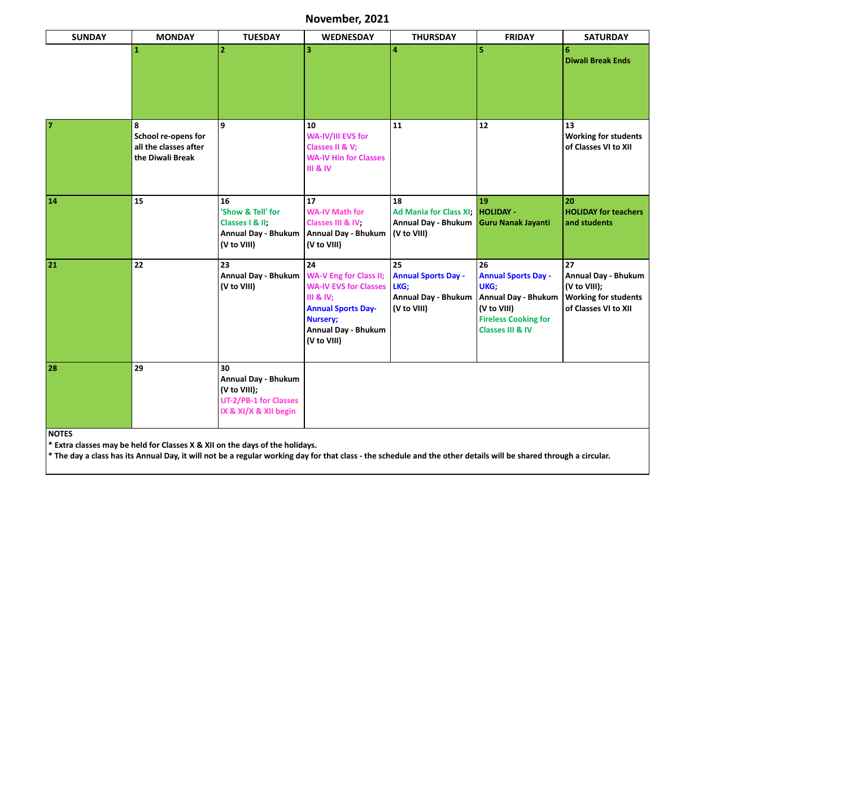| November, 2021 |
|----------------|
|----------------|

| <b>SUNDAY</b>  | <b>MONDAY</b>                                                         | <b>TUESDAY</b>                                                                                            | <b>WEDNESDAY</b>                                                                                                                                                                         | <b>THURSDAY</b>                                                                       | <b>FRIDAY</b>                                                                                                                                       | <b>SATURDAY</b>                                                                                         |
|----------------|-----------------------------------------------------------------------|-----------------------------------------------------------------------------------------------------------|------------------------------------------------------------------------------------------------------------------------------------------------------------------------------------------|---------------------------------------------------------------------------------------|-----------------------------------------------------------------------------------------------------------------------------------------------------|---------------------------------------------------------------------------------------------------------|
|                | $\mathbf 1$                                                           | $\overline{2}$                                                                                            | 3                                                                                                                                                                                        | 4                                                                                     | 5                                                                                                                                                   | 6<br><b>Diwali Break Ends</b>                                                                           |
| $\overline{7}$ | 8<br>School re-opens for<br>all the classes after<br>the Diwali Break | 9                                                                                                         | 10<br><b>WA-IV/III EVS for</b><br>Classes II & V;<br><b>WA-IV Hin for Classes</b><br><b>III &amp; IV</b>                                                                                 | 11                                                                                    | 12                                                                                                                                                  | 13<br><b>Working for students</b><br>of Classes VI to XII                                               |
| 14             | 15                                                                    | 16<br>'Show & Tell' for<br>Classes   & II;<br><b>Annual Day - Bhukum</b><br>(V to VIII)                   | 17<br><b>WA-IV Math for</b><br>Classes III & IV;<br>Annual Day - Bhukum   (V to VIII)<br>(V to VIII)                                                                                     | 18<br>Ad Mania for Class XI; HOLIDAY -<br><b>Annual Day - Bhukum</b>                  | 19<br><b>Guru Nanak Jayanti</b>                                                                                                                     | 20<br><b>HOLIDAY for teachers</b><br>and students                                                       |
| 21             | 22                                                                    | 23<br><b>Annual Day - Bhukum</b><br>(V to VIII)                                                           | 24<br><b>WA-V Eng for Class II;</b><br><b>WA-IV EVS for Classes</b><br><b>III &amp; IV;</b><br><b>Annual Sports Day-</b><br><b>Nursery;</b><br><b>Annual Day - Bhukum</b><br>(V to VIII) | 25<br><b>Annual Sports Day -</b><br>LKG;<br><b>Annual Day - Bhukum</b><br>(V to VIII) | 26<br><b>Annual Sports Day -</b><br>UKG;<br><b>Annual Day - Bhukum</b><br>(V to VIII)<br><b>Fireless Cooking for</b><br><b>Classes III &amp; IV</b> | 27<br><b>Annual Day - Bhukum</b><br>(V to VIII);<br><b>Working for students</b><br>of Classes VI to XII |
| 28             | 29                                                                    | 30<br><b>Annual Day - Bhukum</b><br>(V to VIII);<br><b>UT-2/PB-1 for Classes</b><br>IX & XI/X & XII begin |                                                                                                                                                                                          |                                                                                       |                                                                                                                                                     |                                                                                                         |
| <b>NOTES</b>   |                                                                       |                                                                                                           |                                                                                                                                                                                          |                                                                                       |                                                                                                                                                     |                                                                                                         |

**\* Extra classes may be held for Classes X & XII on the days of the holidays.** 

**\* The day a class has its Annual Day, it will not be a regular working day for that class - the schedule and the other details will be shared through a circular.**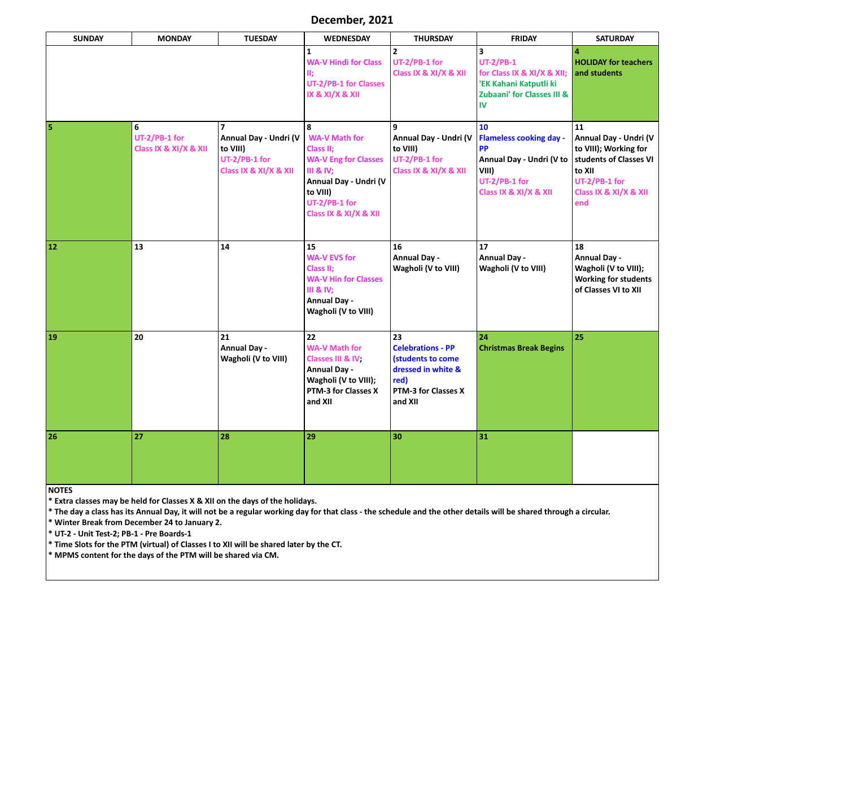| December, 2021 |  |
|----------------|--|
|----------------|--|

| <b>SUNDAY</b>                                             | <b>MONDAY</b>                                                                                                  | <b>TUESDAY</b>                                                                                                                                                         | <b>WEDNESDAY</b>                                                                                                                                                             | <b>THURSDAY</b>                                                                                                     | <b>FRIDAY</b>                                                                                                                                                     | <b>SATURDAY</b>                                                                                                                           |  |
|-----------------------------------------------------------|----------------------------------------------------------------------------------------------------------------|------------------------------------------------------------------------------------------------------------------------------------------------------------------------|------------------------------------------------------------------------------------------------------------------------------------------------------------------------------|---------------------------------------------------------------------------------------------------------------------|-------------------------------------------------------------------------------------------------------------------------------------------------------------------|-------------------------------------------------------------------------------------------------------------------------------------------|--|
|                                                           |                                                                                                                |                                                                                                                                                                        | 1<br><b>WA-V Hindi for Class</b><br>Ш;<br><b>UT-2/PB-1 for Classes</b><br>IX & XI/X & XII                                                                                    | $\overline{2}$<br>UT-2/PB-1 for<br>Class IX & XI/X & XII                                                            | 3<br><b>UT-2/PB-1</b><br>for Class IX & XI/X & XII;<br>'EK Kahani Katputli ki<br><b>Zubaani' for Classes III &amp;</b><br>IV                                      | <b>HOLIDAY for teachers</b><br>and students                                                                                               |  |
| $\overline{\mathbf{5}}$                                   | 6<br>UT-2/PB-1 for<br>Class IX & XI/X & XII                                                                    | 7<br>Annual Day - Undri (V<br>to VIII)<br>UT-2/PB-1 for<br>Class IX & XI/X & XII                                                                                       | 8<br><b>WA-V Math for</b><br>Class II;<br><b>WA-V Eng for Classes</b><br><b>III &amp; IV;</b><br>Annual Day - Undri (V<br>to VIII)<br>UT-2/PB-1 for<br>Class IX & XI/X & XII | Annual Day - Undri (V<br>to VIII)<br>UT-2/PB-1 for<br>Class IX & XI/X & XII                                         | <b>10</b><br><b>Flameless cooking day -</b><br><b>PP</b><br>Annual Day - Undri (V to<br>VIII)<br>UT-2/PB-1 for<br>Class IX & XI/X & XII                           | 11<br>Annual Day - Undri (V<br>to VIII); Working for<br>students of Classes VI<br>to XII<br>UT-2/PB-1 for<br>Class IX & XI/X & XII<br>end |  |
| 12                                                        | 13                                                                                                             | 14                                                                                                                                                                     | 15<br><b>WA-V EVS for</b><br>Class II;<br><b>WA-V Hin for Classes</b><br><b>III &amp; IV;</b><br><b>Annual Day -</b><br>Wagholi (V to VIII)                                  | 16<br><b>Annual Day -</b><br>Wagholi (V to VIII)                                                                    | 17<br><b>Annual Day -</b><br>Wagholi (V to VIII)                                                                                                                  | 18<br><b>Annual Day -</b><br>Wagholi (V to VIII);<br><b>Working for students</b><br>of Classes VI to XII                                  |  |
| <b>19</b>                                                 | 20                                                                                                             | 21<br><b>Annual Day -</b><br>Wagholi (V to VIII)                                                                                                                       | 22<br><b>WA-V Math for</b><br>Classes III & IV<br><b>Annual Day -</b><br>Wagholi (V to VIII);<br>PTM-3 for Classes X<br>and XII                                              | 23<br><b>Celebrations - PP</b><br>(students to come<br>dressed in white &<br>red)<br>PTM-3 for Classes X<br>and XII | 24<br><b>Christmas Break Begins</b>                                                                                                                               | 25                                                                                                                                        |  |
| 26                                                        | 27                                                                                                             | 28                                                                                                                                                                     | 29                                                                                                                                                                           | 30                                                                                                                  | 31                                                                                                                                                                |                                                                                                                                           |  |
| <b>NOTES</b><br>* UT-2 - Unit Test-2; PB-1 - Pre Boards-1 | * Winter Break from December 24 to January 2.<br>* MPMS content for the days of the PTM will be shared via CM. | * Extra classes may be held for Classes X & XII on the days of the holidays.<br>* Time Slots for the PTM (virtual) of Classes I to XII will be shared later by the CT. |                                                                                                                                                                              |                                                                                                                     | * The day a class has its Annual Day, it will not be a regular working day for that class - the schedule and the other details will be shared through a circular. |                                                                                                                                           |  |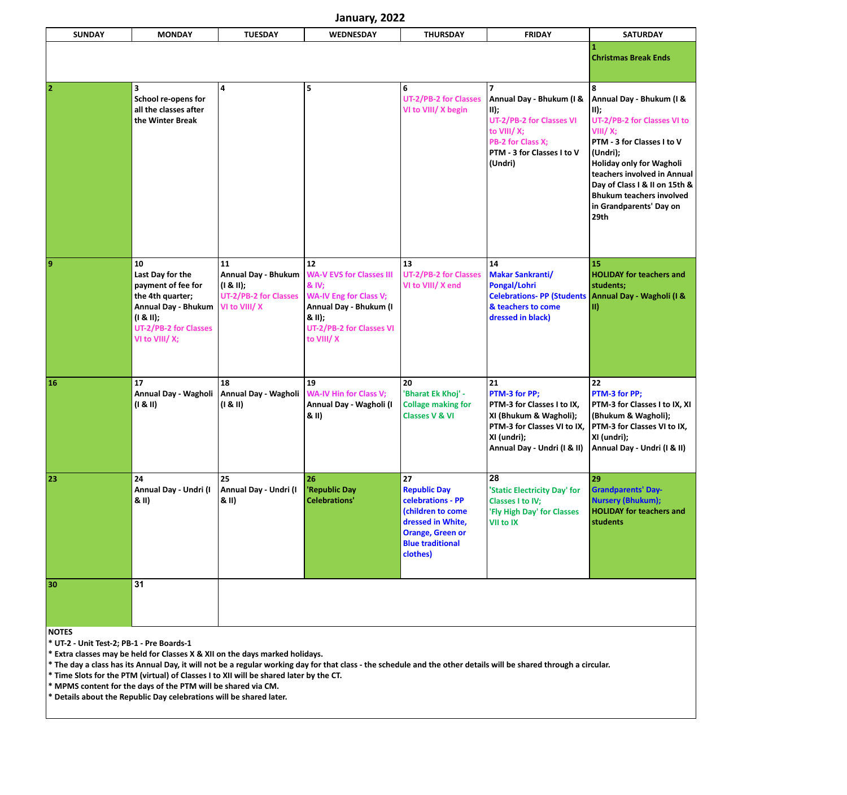| January, 2022                                             |                                                                                                                                                               |                                                                                                   |                                                                                                                                                              |                                                                                                                                                            |                                                                                                                                                           |                                                                                                                                                                                                                                                                                                |  |
|-----------------------------------------------------------|---------------------------------------------------------------------------------------------------------------------------------------------------------------|---------------------------------------------------------------------------------------------------|--------------------------------------------------------------------------------------------------------------------------------------------------------------|------------------------------------------------------------------------------------------------------------------------------------------------------------|-----------------------------------------------------------------------------------------------------------------------------------------------------------|------------------------------------------------------------------------------------------------------------------------------------------------------------------------------------------------------------------------------------------------------------------------------------------------|--|
| <b>SUNDAY</b>                                             | <b>MONDAY</b>                                                                                                                                                 | <b>TUESDAY</b>                                                                                    | <b>WEDNESDAY</b>                                                                                                                                             | <b>THURSDAY</b>                                                                                                                                            | <b>FRIDAY</b>                                                                                                                                             | <b>SATURDAY</b>                                                                                                                                                                                                                                                                                |  |
|                                                           |                                                                                                                                                               |                                                                                                   |                                                                                                                                                              |                                                                                                                                                            |                                                                                                                                                           | <b>Christmas Break Ends</b>                                                                                                                                                                                                                                                                    |  |
| 2                                                         | 3<br>School re-opens for<br>all the classes after<br>the Winter Break                                                                                         | 4                                                                                                 | 5                                                                                                                                                            | 6<br><b>UT-2/PB-2 for Classes</b><br>VI to VIII/ X begin                                                                                                   | Annual Day - Bhukum (I &<br>$\vert$ II);<br>UT-2/PB-2 for Classes VI<br>to VIII/X;<br>PB-2 for Class X;<br>PTM - 3 for Classes I to V<br>(Undri)          | 8<br>Annual Day - Bhukum (I &<br>$II)$ ;<br>UT-2/PB-2 for Classes VI to<br>VIII/X;<br>PTM - 3 for Classes I to V<br>(Undri);<br>Holiday only for Wagholi<br>teachers involved in Annual<br>Day of Class I & II on 15th &<br><b>Bhukum teachers involved</b><br>in Grandparents' Day on<br>29th |  |
| 9                                                         | 10<br>Last Day for the<br>payment of fee for<br>the 4th quarter;<br><b>Annual Day - Bhukum</b><br>(I & II);<br><b>UT-2/PB-2 for Classes</b><br>VI to VIII/ X; | 11<br><b>Annual Day - Bhukum</b><br>$(1 & 81)$ ;<br><b>UT-2/PB-2 for Classes</b><br>VI to VIII/ X | 12<br><b>WA-V EVS for Classes III</b><br>& IV;<br><b>WA-IV Eng for Class V;</b><br>Annual Day - Bhukum (I<br>& II);<br>UT-2/PB-2 for Classes VI<br>to VIII/X | 13<br><b>UT-2/PB-2 for Classes</b><br>VI to VIII/ X end                                                                                                    | 14<br><b>Makar Sankranti/</b><br>Pongal/Lohri<br><b>Celebrations- PP (Students</b><br>& teachers to come<br>dressed in black)                             | 15<br><b>HOLIDAY for teachers and</b><br>students;<br>Annual Day - Wagholi (I &<br>$\vert \hspace{.04cm} \vert$                                                                                                                                                                                |  |
| <b>16</b>                                                 | 17<br>Annual Day - Wagholi<br>(1 & 81)                                                                                                                        | 18<br>Annual Day - Wagholi<br>(1 & 81)                                                            | 19<br><b>WA-IV Hin for Class V;</b><br>Annual Day - Wagholi (I<br>8(11)                                                                                      | 20<br>'Bharat Ek Khoj' -<br><b>Collage making for</b><br><b>Classes V &amp; VI</b>                                                                         | 21<br>PTM-3 for PP;<br>PTM-3 for Classes I to IX,<br> XI (Bhukum & Wagholi);<br>PTM-3 for Classes VI to IX,<br>XI (undri);<br>Annual Day - Undri (I & II) | 22<br>PTM-3 for PP;<br>PTM-3 for Classes I to IX, XI<br>(Bhukum & Wagholi);<br><b>PTM-3 for Classes VI to IX,</b><br>XI (undri);<br>Annual Day - Undri (I & II)                                                                                                                                |  |
| 23                                                        | 24<br>Annual Day - Undri (I<br>& II)                                                                                                                          | 25<br>Annual Day - Undri (I<br>& II)                                                              | 26<br>'Republic Day<br><b>Celebrations'</b>                                                                                                                  | 27<br><b>Republic Day</b><br>celebrations - PP<br>(children to come<br>dressed in White,<br><b>Orange, Green or</b><br><b>Blue traditional</b><br>clothes) | 28<br>'Static Electricity Day' for<br><b>Classes I to IV;</b><br>'Fly High Day' for Classes<br><b>VII to IX</b>                                           | 29<br><b>Grandparents' Day-</b><br><b>Nursery (Bhukum);</b><br><b>HOLIDAY for teachers and</b><br>students                                                                                                                                                                                     |  |
| 30                                                        | 31                                                                                                                                                            |                                                                                                   |                                                                                                                                                              |                                                                                                                                                            |                                                                                                                                                           |                                                                                                                                                                                                                                                                                                |  |
| <b>NOTES</b><br>* UT-2 - Unit Test-2; PB-1 - Pre Boards-1 |                                                                                                                                                               |                                                                                                   |                                                                                                                                                              |                                                                                                                                                            |                                                                                                                                                           |                                                                                                                                                                                                                                                                                                |  |

**\* Extra classes may be held for Classes X & XII on the days marked holidays.** 

**\* The day a class has its Annual Day, it will not be a regular working day for that class - the schedule and the other details will be shared through a circular.** 

**\* Time Slots for the PTM (virtual) of Classes I to XII will be shared later by the CT.** 

**\* MPMS content for the days of the PTM will be shared via CM.** 

**\* Details about the Republic Day celebrations will be shared later.**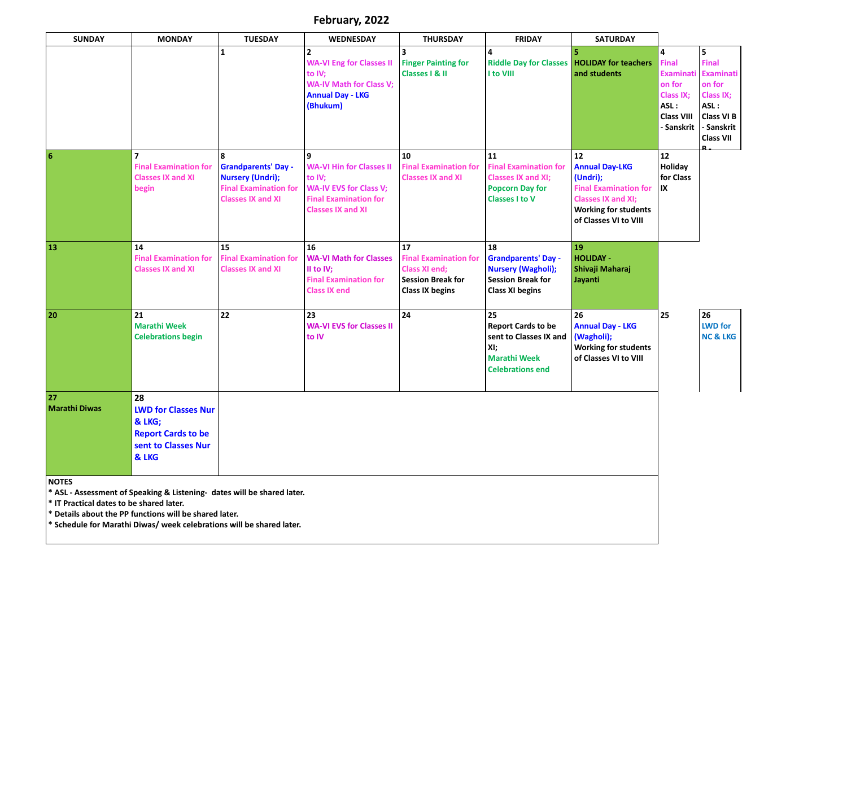**February, 2022**

| <b>SUNDAY</b>                                                                                                                      | <b>MONDAY</b>                                                                                                                     | <b>TUESDAY</b>                                                                                                                    | <b>WEDNESDAY</b>                                                                                                                                       | <b>THURSDAY</b>                                                                                                  | <b>FRIDAY</b>                                                                                                       | <b>SATURDAY</b>                                                                                                                                              |                                                                                                                      |                                                                                                                                    |
|------------------------------------------------------------------------------------------------------------------------------------|-----------------------------------------------------------------------------------------------------------------------------------|-----------------------------------------------------------------------------------------------------------------------------------|--------------------------------------------------------------------------------------------------------------------------------------------------------|------------------------------------------------------------------------------------------------------------------|---------------------------------------------------------------------------------------------------------------------|--------------------------------------------------------------------------------------------------------------------------------------------------------------|----------------------------------------------------------------------------------------------------------------------|------------------------------------------------------------------------------------------------------------------------------------|
|                                                                                                                                    |                                                                                                                                   | $\mathbf{1}$                                                                                                                      | $\overline{2}$<br><b>WA-VI Eng for Classes II</b><br>to IV;<br><b>WA-IV Math for Class V;</b><br><b>Annual Day - LKG</b><br>(Bhukum)                   | 3<br><b>Finger Painting for</b><br><b>Classes   &amp; II</b>                                                     | 4<br><b>Riddle Day for Classes</b><br>I to VIII                                                                     | <b>HOLIDAY for teachers</b><br>and students                                                                                                                  | $\overline{a}$<br><b>Final</b><br><b>Examinati</b><br>on for<br>Class IX;<br>ASL:<br><b>Class VIII</b><br>- Sanskrit | 5<br><b>Final</b><br><b>Examinati</b><br>on for<br><b>Class IX;</b><br>ASL:<br><b>Class VI B</b><br>- Sanskrit<br><b>Class VII</b> |
| $\boldsymbol{6}$                                                                                                                   | $\overline{7}$<br><b>Final Examination for</b><br><b>Classes IX and XI</b><br>begin                                               | $\mathbf{8}$<br><b>Grandparents' Day -</b><br><b>Nursery (Undri);</b><br><b>Final Examination for</b><br><b>Classes IX and XI</b> | $\mathbf{9}$<br><b>WA-VI Hin for Classes II</b><br>to IV;<br><b>WA-IV EVS for Class V;</b><br><b>Final Examination for</b><br><b>Classes IX and XI</b> | 10<br><b>Final Examination for</b><br><b>Classes IX and XI</b>                                                   | 11<br><b>Final Examination for</b><br><b>Classes IX and XI;</b><br><b>Popcorn Day for</b><br><b>Classes I to V</b>  | 12<br><b>Annual Day-LKG</b><br>(Undri);<br><b>Final Examination for</b><br><b>Classes IX and XI;</b><br><b>Working for students</b><br>of Classes VI to VIII | $12$<br>Holiday<br>for Class<br>$\mathsf{I}\mathsf{X}$                                                               |                                                                                                                                    |
| 13                                                                                                                                 | 14<br><b>Final Examination for</b><br><b>Classes IX and XI</b>                                                                    | 15<br><b>Final Examination for</b><br><b>Classes IX and XI</b>                                                                    | 16<br><b>WA-VI Math for Classes</b><br>II to IV;<br><b>Final Examination for</b><br><b>Class IX end</b>                                                | 17<br><b>Final Examination for</b><br><b>Class XI end;</b><br><b>Session Break for</b><br><b>Class IX begins</b> | 18<br><b>Grandparents' Day -</b><br><b>Nursery (Wagholi);</b><br><b>Session Break for</b><br><b>Class XI begins</b> | 19<br><b>HOLIDAY -</b><br>Shivaji Maharaj<br>Jayanti                                                                                                         |                                                                                                                      |                                                                                                                                    |
| 20                                                                                                                                 | 21<br><b>Marathi Week</b><br><b>Celebrations begin</b>                                                                            | 22                                                                                                                                | 23<br><b>WA-VI EVS for Classes II</b><br>to IV                                                                                                         | 24                                                                                                               | 25<br><b>Report Cards to be</b><br>sent to Classes IX and<br>XI;<br><b>Marathi Week</b><br><b>Celebrations end</b>  | 26<br><b>Annual Day - LKG</b><br>(Wagholi);<br><b>Working for students</b><br>of Classes VI to VIII                                                          | 25                                                                                                                   | 26<br><b>LWD</b> for<br><b>NC &amp; LKG</b>                                                                                        |
| 27<br><b>Marathi Diwas</b>                                                                                                         | 28<br><b>LWD for Classes Nur</b><br>& LKG;<br><b>Report Cards to be</b><br>sent to Classes Nur<br>& LKG                           |                                                                                                                                   |                                                                                                                                                        |                                                                                                                  |                                                                                                                     |                                                                                                                                                              |                                                                                                                      |                                                                                                                                    |
| <b>NOTES</b><br>* IT Practical dates to be shared later.<br>$*$ Cohodulo for Marathi Diwas/ wook colobrations will be shared later | * ASL - Assessment of Speaking & Listening- dates will be shared later.<br>* Details about the PP functions will be shared later. |                                                                                                                                   |                                                                                                                                                        |                                                                                                                  |                                                                                                                     |                                                                                                                                                              |                                                                                                                      |                                                                                                                                    |

**\* Schedule for Marathi Diwas/ week celebrations will be shared later.**